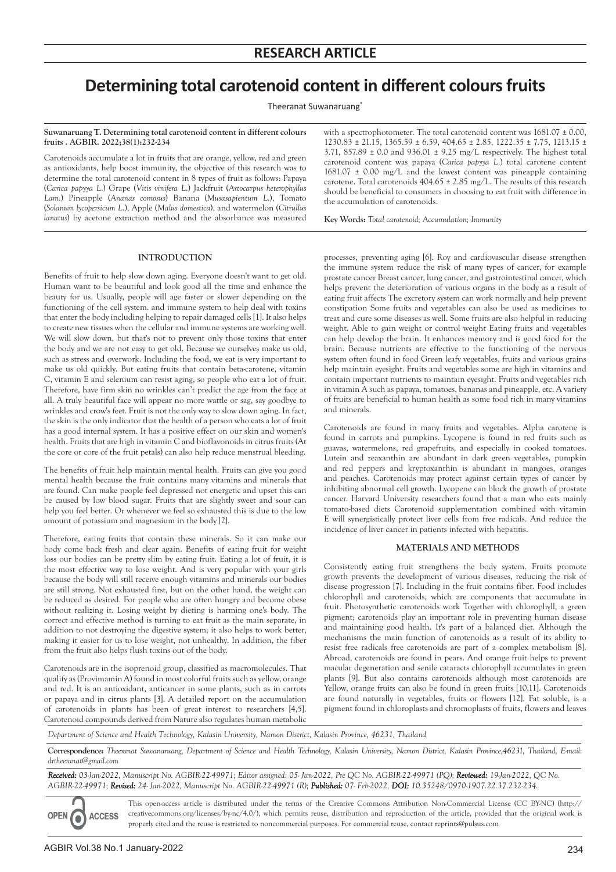# **Determining total carotenoid content in different colours fruits**

Theeranat Suwanaruang\*

**Suwanaruang T. Determining total carotenoid content in different colours fruits . AGBIR. 2022;38(1):232-234**

Carotenoids accumulate a lot in fruits that are orange, yellow, red and green as antioxidants, help boost immunity, the objective of this research was to determine the total carotenoid content in 8 types of fruit as follows: Papaya (*Carica papyya L*.) Grape (*Vitis vinifera L*.) Jackfruit (*Artocarpus heterophyllus Lam*.) Pineapple (*Ananas comosus*) Banana (*Musasapientum L*.), Tomato (*Solanum lycopersicum L*.), Apple (*Malus domestica*), and watermelon (*Citrullus lanatus*) by acetone extraction method and the absorbance was measured

**INTRODUCTION**

Benefits of fruit to help slow down aging. Everyone doesn't want to get old. Human want to be beautiful and look good all the time and enhance the beauty for us. Usually, people will age faster or slower depending on the functioning of the cell system. and immune system to help deal with toxins that enter the body including helping to repair damaged cells [1]. It also helps to create new tissues when the cellular and immune systems are working well. We will slow down, but that's not to prevent only those toxins that enter the body and we are not easy to get old. Because we ourselves make us old, such as stress and overwork. Including the food, we eat is very important to make us old quickly. But eating fruits that contain beta-carotene, vitamin C, vitamin E and selenium can resist aging, so people who eat a lot of fruit. Therefore, have firm skin no wrinkles can't predict the age from the face at all. A truly beautiful face will appear no more wattle or sag, say goodbye to wrinkles and crow's feet. Fruit is not the only way to slow down aging. In fact, the skin is the only indicator that the health of a person who eats a lot of fruit has a good internal system. It has a positive effect on our skin and women's health. Fruits that are high in vitamin C and bioflavonoids in citrus fruits (At the core or core of the fruit petals) can also help reduce menstrual bleeding.

The benefits of fruit help maintain mental health. Fruits can give you good mental health because the fruit contains many vitamins and minerals that are found. Can make people feel depressed not energetic and upset this can be caused by low blood sugar. Fruits that are slightly sweet and sour can help you feel better. Or whenever we feel so exhausted this is due to the low amount of potassium and magnesium in the body [2].

Therefore, eating fruits that contain these minerals. So it can make our body come back fresh and clear again. Benefits of eating fruit for weight loss our bodies can be pretty slim by eating fruit. Eating a lot of fruit, it is the most effective way to lose weight. And is very popular with your girls because the body will still receive enough vitamins and minerals our bodies are still strong. Not exhausted first, but on the other hand, the weight can be reduced as desired. For people who are often hungry and become obese without realizing it. Losing weight by dieting is harming one's body. The correct and effective method is turning to eat fruit as the main separate, in addition to not destroying the digestive system; it also helps to work better, making it easier for us to lose weight, not unhealthy. In addition, the fiber from the fruit also helps flush toxins out of the body.

Carotenoids are in the isoprenoid group, classified as macromolecules. That qualify as (Provimamin A) found in most colorful fruits such as yellow, orange and red. It is an antioxidant, anticancer in some plants, such as in carrots or papaya and in citrus plants [3]. A detailed report on the accumulation of carotenoids in plants has been of great interest to researchers [4,5]. Carotenoid compounds derived from Nature also regulates human metabolic

with a spectrophotometer. The total carotenoid content was  $1681.07 \pm 0.00$ ,  $1230.83 \pm 21.15$ ,  $1365.59 \pm 6.59$ ,  $404.65 \pm 2.85$ ,  $1222.35 \pm 7.75$ ,  $1213.15 \pm 7.75$ 3.71, 857.89 ± 0.0 and 936.01 ± 9.25 mg/L respectively. The highest total carotenoid content was papaya (*Carica papyya L*.) total carotene content  $1681.07 \pm 0.00$  mg/L and the lowest content was pineapple containing carotene. Total carotenoids 404.65 ± 2.85 mg/L. The results of this research should be beneficial to consumers in choosing to eat fruit with difference in the accumulation of carotenoids.

**Key Words:** *Total carotenoid; Accumulation; Immunity*

processes, preventing aging [6]. Roy and cardiovascular disease strengthen the immune system reduce the risk of many types of cancer, for example prostate cancer Breast cancer, lung cancer, and gastrointestinal cancer, which helps prevent the deterioration of various organs in the body as a result of eating fruit affects The excretory system can work normally and help prevent constipation Some fruits and vegetables can also be used as medicines to treat and cure some diseases as well. Some fruits are also helpful in reducing weight. Able to gain weight or control weight Eating fruits and vegetables can help develop the brain. It enhances memory and is good food for the brain. Because nutrients are effective to the functioning of the nervous system often found in food Green leafy vegetables, fruits and various grains help maintain eyesight. Fruits and vegetables some are high in vitamins and contain important nutrients to maintain eyesight. Fruits and vegetables rich in vitamin A such as papaya, tomatoes, bananas and pineapple, etc. A variety of fruits are beneficial to human health as some food rich in many vitamins and minerals.

Carotenoids are found in many fruits and vegetables. Alpha carotene is found in carrots and pumpkins. Lycopene is found in red fruits such as guavas, watermelons, red grapefruits, and especially in cooked tomatoes. Lutein and zeaxanthin are abundant in dark green vegetables, pumpkin and red peppers and kryptoxanthin is abundant in mangoes, oranges and peaches. Carotenoids may protect against certain types of cancer by inhibiting abnormal cell growth. Lycopene can block the growth of prostate cancer. Harvard University researchers found that a man who eats mainly tomato-based diets Carotenoid supplementation combined with vitamin E will synergistically protect liver cells from free radicals. And reduce the incidence of liver cancer in patients infected with hepatitis.

# **MATERIALS AND METHODS**

Consistently eating fruit strengthens the body system. Fruits promote growth prevents the development of various diseases, reducing the risk of disease progression [7]. Including in the fruit contains fiber. Food includes chlorophyll and carotenoids, which are components that accumulate in fruit. Photosynthetic carotenoids work Together with chlorophyll, a green pigment; carotenoids play an important role in preventing human disease and maintaining good health. It's part of a balanced diet. Although the mechanisms the main function of carotenoids as a result of its ability to resist free radicals free carotenoids are part of a complex metabolism [8]. Abroad, carotenoids are found in pears. And orange fruit helps to prevent macular degeneration and senile cataracts chlorophyll accumulates in green plants [9]. But also contains carotenoids although most carotenoids are Yellow, orange fruits can also be found in green fruits [10,11]. Carotenoids are found naturally in vegetables, fruits or flowers [12]. Fat soluble, is a pigment found in chloroplasts and chromoplasts of fruits, flowers and leaves

*Department of Science and Health Technology, Kalasin University, Namon District, Kalasin Province, 46231, Thailand*

**Correspondence:** *Theeranat Suwanaruang, Department of Science and Health Technology, Kalasin University, Namon District, Kalasin Province,46231, Thailand, E-mail: drtheeranat@gmail.com*

*Received: 03-Jan-2022, Manuscript No. AGBIR-22-49971; Editor assigned: 05- Jan-2022, Pre QC No. AGBIR-22-49971 (PQ); Reviewed: 19-Jan-2022, QC No. AGBIR-22-49971; Revised: 24- Jan-2022, Manuscript No. AGBIR-22-49971 (R); Published: 07- Feb-2022, DOI: 10.35248/0970-1907.22.37.232-234.*

This open-access article is distributed under the terms of the Creative Commons Attribution Non-Commercial License (CC BY-NC) (http:// creativecommons.org/licenses/by-nc/4.0/), which permits reuse, distribution and reproduction of the article, provided that the original work is **ACCESS** properly cited and the reuse is restricted to noncommercial purposes. For commercial reuse, contact reprints@pulsus.com

OPEN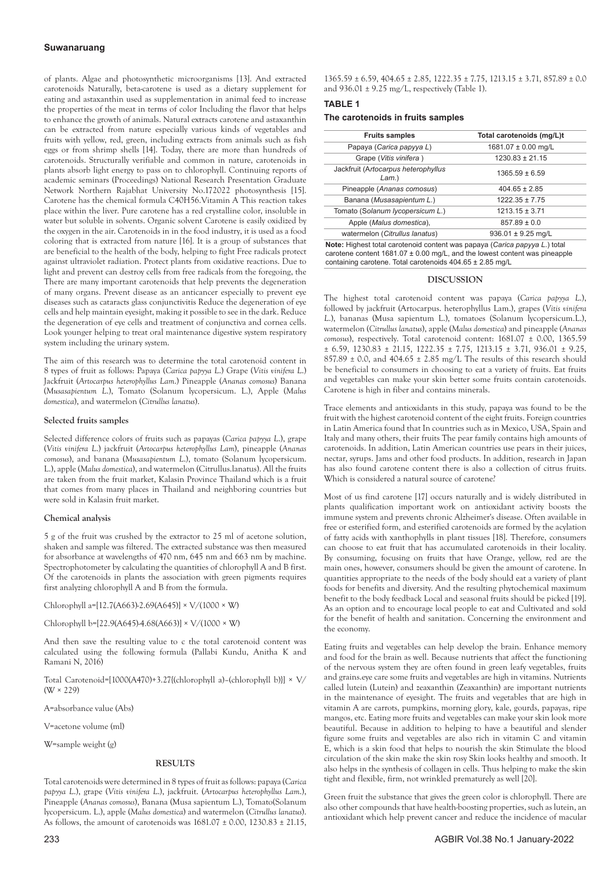# **Suwanaruang**

of plants. Algae and photosynthetic microorganisms [13]. And extracted carotenoids Naturally, beta-carotene is used as a dietary supplement for eating and astaxanthin used as supplementation in animal feed to increase the properties of the meat in terms of color Including the flavor that helps to enhance the growth of animals. Natural extracts carotene and astaxanthin can be extracted from nature especially various kinds of vegetables and fruits with yellow, red, green, including extracts from animals such as fish eggs or from shrimp shells [14]. Today, there are more than hundreds of carotenoids. Structurally verifiable and common in nature, carotenoids in plants absorb light energy to pass on to chlorophyll. Continuing reports of academic seminars (Proceedings) National Research Presentation Graduate Network Northern Rajabhat University No.172022 photosynthesis [15]. Carotene has the chemical formula C40H56.Vitamin A This reaction takes place within the liver. Pure carotene has a red crystalline color, insoluble in water but soluble in solvents. Organic solvent Carotene is easily oxidized by the oxygen in the air. Carotenoids in in the food industry, it is used as a food coloring that is extracted from nature [16]. It is a group of substances that are beneficial to the health of the body, helping to fight Free radicals protect against ultraviolet radiation. Protect plants from oxidative reactions. Due to light and prevent can destroy cells from free radicals from the foregoing, the There are many important carotenoids that help prevents the degeneration of many organs. Prevent disease as an anticancer especially to prevent eye diseases such as cataracts glass conjunctivitis Reduce the degeneration of eye cells and help maintain eyesight, making it possible to see in the dark. Reduce the degeneration of eye cells and treatment of conjunctiva and cornea cells. Look younger helping to treat oral maintenance digestive system respiratory system including the urinary system.

The aim of this research was to determine the total carotenoid content in 8 types of fruit as follows: Papaya (*Carica papyya L*.) Grape (*Vitis vinifera L*.) Jackfruit (*Artocarpus heterophyllus Lam*.) Pineapple (*Ananas comosus*) Banana (*Musasapientum L*.), Tomato (Solanum lycopersicum. L.), Apple (*Malus domestica*), and watermelon (*Citrullus lanatus*).

#### **Selected fruits samples**

Selected difference colors of fruits such as papayas (*Carica papyya L*.), grape (*Vitis vinifera L*.) jackfruit (*Artocarpus heterophyllus Lam*), pineapple (*Ananas comosus*), and banana (*Musasapientum L*.), tomato (Solanum lycopersicum. L.), apple (*Malus domestica*), and watermelon (Citrullus.lanatus). All the fruits are taken from the fruit market, Kalasin Province Thailand which is a fruit that comes from many places in Thailand and neighboring countries but were sold in Kalasin fruit market.

# **Chemical analysis**

5 g of the fruit was crushed by the extractor to 25 ml of acetone solution, shaken and sample was filtered. The extracted substance was then measured for absorbance at wavelengths of 470 nm, 645 nm and 663 nm by machine. Spectrophotometer by calculating the quantities of chlorophyll A and B first. Of the carotenoids in plants the association with green pigments requires first analyzing chlorophyll A and B from the formula.

Chlorophyll a=[12.7(A663)-2.69(A645)] × V/(1000 × W)

Chlorophyll b=[22.9(A645)-4.68(A663)] × V/(1000 × W)

And then save the resulting value to c the total carotenoid content was calculated using the following formula (Pallabi Kundu, Anitha K and Ramani N, 2016)

Total Carotenoid=[1000(A470)+3.27{(chlorophyll a)–(chlorophyll b)}] × V/  $(W \times 229)$ 

A=absorbance value (Abs)

V=acetone volume (ml)

W=sample weight (g)

#### **RESULTS**

Total carotenoids were determined in 8 types of fruit as follows: papaya (*Carica papyya L*.), grape (*Vitis vinifera L*.), jackfruit. (*Artocarpus heterophyllus Lam*.), Pineapple (*Ananas comosus*), Banana (Musa sapientum L.), Tomato(Solanum lycopersicum. L.), apple (*Malus domestica*) and watermelon (*Citrullus lanatus*). As follows, the amount of carotenoids was 1681.07 ± 0.00, 1230.83 ± 21.15,

 $1365.59 \pm 6.59$ ,  $404.65 \pm 2.85$ ,  $1222.35 \pm 7.75$ ,  $1213.15 \pm 3.71$ ,  $857.89 \pm 0.0$ and  $936.01 \pm 9.25$  mg/L, respectively (Table 1).

## **TABLE 1**

## **The carotenoids in fruits samples**

| <b>Fruits samples</b>                                                      | Total carotenoids (mg/L)t |
|----------------------------------------------------------------------------|---------------------------|
| Papaya (Carica papyya L)                                                   | 1681.07 ± 0.00 mg/L       |
| Grape (Vitis vinifera)                                                     | $1230.83 \pm 21.15$       |
| Jackfruit (Artocarpus heterophyllus<br>Lam.                                | $1365.59 \pm 6.59$        |
| Pineapple (Ananas comosus)                                                 | $404.65 \pm 2.85$         |
| Banana (Musasapientum L.)                                                  | $1222.35 \pm 7.75$        |
| Tomato (Solanum lycopersicum L.)                                           | $1213.15 \pm 3.71$        |
| Apple (Malus domestica).                                                   | $857.89 \pm 0.0$          |
| watermelon (Citrullus lanatus)                                             | $936.01 \pm 9.25$ mg/L    |
| Note: Highest total carotonoid content was nanova (Carica nanuva L.) total |                           |

**Note:** Highest total carotenoid content was papaya (*Carica papyya L*.) total carotene content 1681.07 ± 0.00 mg/L, and the lowest content was pineapple containing carotene. Total carotenoids 404.65 ± 2.85 mg/L

### **DISCUSSION**

The highest total carotenoid content was papaya (*Carica papyya L*.), followed by jackfruit (Artocarpus. heterophyllus Lam.), grapes (*Vitis vinifera L*.), bananas (Musa sapientum L.), tomatoes (Solanum lycopersicum.L.), watermelon (*Citrullus lanatus*), apple (*Malus domestica*) and pineapple (*Ananas comosus*), respectively. Total carotenoid content: 1681.07 ± 0.00, 1365.59  $\pm$  6.59, 1230.83  $\pm$  21.15, 1222.35  $\pm$  7.75, 1213.15  $\pm$  3.71, 936.01  $\pm$  9.25,  $857.89 \pm 0.0$ , and  $404.65 \pm 2.85$  mg/L The results of this research should be beneficial to consumers in choosing to eat a variety of fruits. Eat fruits and vegetables can make your skin better some fruits contain carotenoids. Carotene is high in fiber and contains minerals.

Trace elements and antioxidants in this study, papaya was found to be the fruit with the highest carotenoid content of the eight fruits. Foreign countries in Latin America found that In countries such as in Mexico, USA, Spain and Italy and many others, their fruits The pear family contains high amounts of carotenoids. In addition, Latin American countries use pears in their juices, nectar, syrups. Jams and other food products. In addition, research in Japan has also found carotene content there is also a collection of citrus fruits. Which is considered a natural source of carotene?

Most of us find carotene [17] occurs naturally and is widely distributed in plants qualification important work on antioxidant activity boosts the immune system and prevents chronic Alzheimer's disease. Often available in free or esterified form, and esterified carotenoids are formed by the acylation of fatty acids with xanthophylls in plant tissues [18]. Therefore, consumers can choose to eat fruit that has accumulated carotenoids in their locality. By consuming, focusing on fruits that have Orange, yellow, red are the main ones, however, consumers should be given the amount of carotene. In quantities appropriate to the needs of the body should eat a variety of plant foods for benefits and diversity. And the resulting phytochemical maximum benefit to the body feedback Local and seasonal fruits should be picked [19]. As an option and to encourage local people to eat and Cultivated and sold for the benefit of health and sanitation. Concerning the environment and the economy.

Eating fruits and vegetables can help develop the brain. Enhance memory and food for the brain as well. Because nutrients that affect the functioning of the nervous system they are often found in green leafy vegetables, fruits and grains.eye care some fruits and vegetables are high in vitamins. Nutrients called lutein (Lutein) and zeaxanthin (Zeaxanthin) are important nutrients in the maintenance of eyesight. The fruits and vegetables that are high in vitamin A are carrots, pumpkins, morning glory, kale, gourds, papayas, ripe mangos, etc. Eating more fruits and vegetables can make your skin look more beautiful. Because in addition to helping to have a beautiful and slender figure some fruits and vegetables are also rich in vitamin C and vitamin E, which is a skin food that helps to nourish the skin Stimulate the blood circulation of the skin make the skin rosy Skin looks healthy and smooth. It also helps in the synthesis of collagen in cells. Thus helping to make the skin tight and flexible, firm, not wrinkled prematurely as well [20].

Green fruit the substance that gives the green color is chlorophyll. There are also other compounds that have health-boosting properties, such as lutein, an antioxidant which help prevent cancer and reduce the incidence of macular